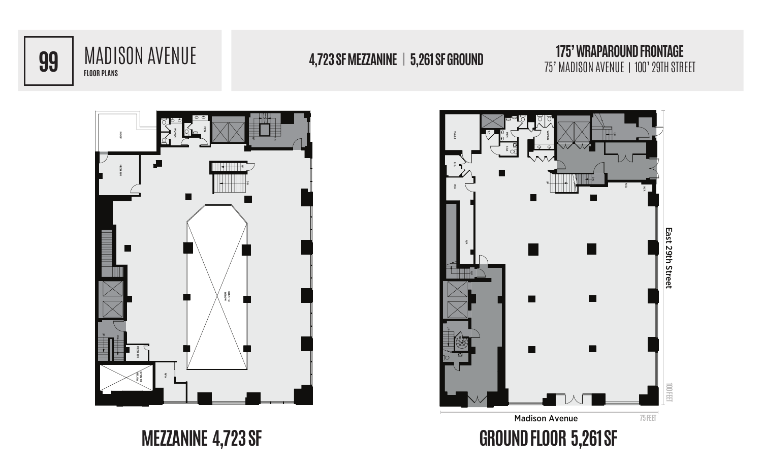

## **FLOOR PLANS 99** MADISON AVENUE

## 75' MADISON AVENUE | 100' 29TH STREET **4,723 SF MEZZANINE | 5,261 SF GROUND**

## **175' WRAPAROUND FRONTAGE**<br>75' MADISON AVENUE | 100' 29TH STREET